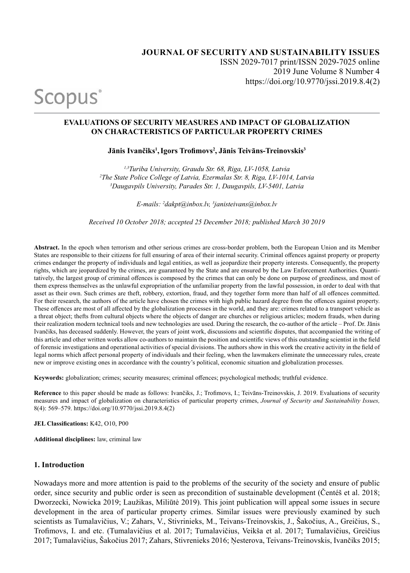Scopus<sup>®</sup>

#### **EVALUATIONS OF SECURITY MEASURES AND IMPACT OF GLOBALIZATION ON CHARACTERISTICS OF PARTICULAR PROPERTY CRIMES**

**Jānis Ivančiks<sup>1</sup> ,Igors Trofimovs<sup>2</sup> , Jānis Teivāns-Treinovskis<sup>3</sup>**

*1,3Turiba University, Graudu Str. 68, Riga, LV-1058, Latvia 2 The State Police College of Latvia, Ezermalas Str. 8, Riga, LV-1014, Latvia 3 Daugavpils University, Parades Str. 1, Daugavpils, LV-5401, Latvia*

*E-mails: 2 dakpt@inbox.lv, 3 janisteivans@inbox.lv* 

*Received 10 October 2018; accepted 25 December 2018; published March 30 2019*

**Abstract.** In the epoch when terrorism and other serious crimes are cross-border problem, both the European Union and its Member States are responsible to their citizens for full ensuring of area of their internal security. Criminal offences against property or property crimes endanger the property of individuals and legal entities, as well as jeopardize their property interests. Consequently, the property rights, which are jeopardized by the crimes, are guaranteed by the State and are ensured by the Law Enforcement Authorities. Quantitatively, the largest group of criminal offences is composed by the crimes that can only be done on purpose of greediness, and most of them express themselves as the unlawful expropriation of the unfamiliar property from the lawful possession, in order to deal with that asset as their own. Such crimes are theft, robbery, extortion, fraud, and they together form more than half of all offences committed. For their research, the authors of the article have chosen the crimes with high public hazard degree from the offences against property. These offences are most of all affected by the globalization processes in the world, and they are: crimes related to a transport vehicle as a threat object; thefts from cultural objects where the objects of danger are churches or religious articles; modern frauds, when during their realization modern technical tools and new technologies are used. During the research, the co-author of the article – Prof. Dr. Jānis Ivančiks, has deceased suddenly. However, the years of joint work, discussions and scientific disputes, that accompanied the writing of this article and other written works allow co-authors to maintain the position and scientific views of this outstanding scientist in the field of forensic investigations and operational activities of special divisions. The authors show in this work the creative activity in the field of legal norms which affect personal property of individuals and their feeling, when the lawmakers eliminate the unnecessary rules, create new or improve existing ones in accordance with the country's political, economic situation and globalization processes.

**Keywords:** globalization; crimes; security measures; criminal offences; psychological methods; truthful evidence.

**Reference** to this paper should be made as follows: Ivančiks, J.; Trofimovs, I.; Teivāns-Treinovskis, J. 2019. Evaluations of security measures and impact of globalization on characteristics of particular property crimes, *Journal of Security and Sustainability Issues,*  8(4): 569–579. https://doi.org/10.9770/jssi.2019.8.4(2)

**JEL Classifications:** K42, O10, P00

**Additional disciplines:** law, criminal law

#### **1. Introduction**

Nowadays more and more attention is paid to the problems of the security of the society and ensure of public order, since security and public order is seen as precondition of sustainable development (Čentéš et al. 2018; Dworzecki, Nowicka 2019; Laužikas, Miliūtė 2019). This joint publication will appeal some issues in secure development in the area of particular property crimes. Similar issues were previously examined by such scientists as Tumalavičius, V.; Zahars, V., Stivrinieks, M., Teivans-Treinovskis, J., Šakočius, A., Greičius, S., Trofimovs, I. and etc. (Tumalavičius et al. 2017; Tumalavičius, Veikša et al. 2017; Tumalavičius, Greičius 2017; Tumalavičius, Šakočius 2017; Zahars, Stivrenieks 2016; Ņesterova, Teivans-Treinovskis, Ivančiks 2015;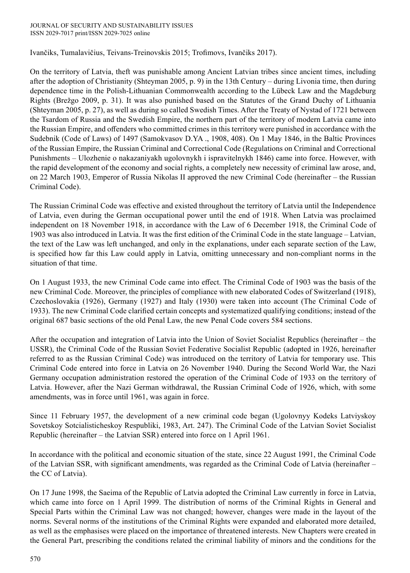Ivančiks, Tumalavičius, Teivans-Treinovskis 2015; Trofimovs, Ivančiks 2017).

On the territory of Latvia, theft was punishable among Ancient Latvian tribes since ancient times, including after the adoption of Christianity (Shteyman 2005, p. 9) in the 13th Century – during Livonia time, then during dependence time in the Polish-Lithuanian Commonwealth according to the Lübeck Law and the Magdeburg Rights (Brežgo 2009, p. 31). It was also punished based on the Statutes of the Grand Duchy of Lithuania (Shteyman 2005, p. 27), as well as during so called Swedish Times. After the Treaty of Nystad of 1721 between the Tsardom of Russia and the Swedish Empire, the northern part of the territory of modern Latvia came into the Russian Empire, and offenders who committed crimes in this territory were punished in accordance with the Sudebnik (Code of Laws) of 1497 (Samokvasov D.YA ., 1908, 408). On 1 May 1846, in the Baltic Provinces of the Russian Empire, the Russian Criminal and Correctional Code (Regulations on Criminal and Correctional Punishments – Ulozhenie o nakazaniyakh ugolovnykh i ispravitelnykh 1846) came into force. However, with the rapid development of the economy and social rights, a completely new necessity of criminal law arose, and, on 22 March 1903, Emperor of Russia Nikolas II approved the new Criminal Code (hereinafter – the Russian Criminal Code).

The Russian Criminal Code was effective and existed throughout the territory of Latvia until the Independence of Latvia, even during the German occupational power until the end of 1918. When Latvia was proclaimed independent on 18 November 1918, in accordance with the Law of 6 December 1918, the Criminal Code of 1903 was also introduced in Latvia. It was the first edition of the Criminal Code in the state language – Latvian, the text of the Law was left unchanged, and only in the explanations, under each separate section of the Law, is specified how far this Law could apply in Latvia, omitting unnecessary and non-compliant norms in the situation of that time.

On 1 August 1933, the new Criminal Code came into effect. The Criminal Code of 1903 was the basis of the new Criminal Code. Moreover, the principles of compliance with new elaborated Codes of Switzerland (1918), Czechoslovakia (1926), Germany (1927) and Italy (1930) were taken into account (The Criminal Code of 1933). The new Criminal Code clarified certain concepts and systematized qualifying conditions; instead of the original 687 basic sections of the old Penal Law, the new Penal Code covers 584 sections.

After the occupation and integration of Latvia into the Union of Soviet Socialist Republics (hereinafter – the USSR), the Criminal Code of the Russian Soviet Federative Socialist Republic (adopted in 1926, hereinafter referred to as the Russian Criminal Code) was introduced on the territory of Latvia for temporary use. This Criminal Code entered into force in Latvia on 26 November 1940. During the Second World War, the Nazi Germany occupation administration restored the operation of the Criminal Code of 1933 on the territory of Latvia. However, after the Nazi German withdrawal, the Russian Criminal Code of 1926, which, with some amendments, was in force until 1961, was again in force.

Since 11 February 1957, the development of a new criminal code began (Ugolovnyy Kodeks Latviyskoy Sovetskoy Sotcialisticheskoy Respubliki, 1983, Art. 247). The Criminal Code of the Latvian Soviet Socialist Republic (hereinafter – the Latvian SSR) entered into force on 1 April 1961.

In accordance with the political and economic situation of the state, since 22 August 1991, the Criminal Code of the Latvian SSR, with significant amendments, was regarded as the Criminal Code of Latvia (hereinafter – the CC of Latvia).

On 17 June 1998, the Saeima of the Republic of Latvia adopted the Criminal Law currently in force in Latvia, which came into force on 1 April 1999. The distribution of norms of the Criminal Rights in General and Special Parts within the Criminal Law was not changed; however, changes were made in the layout of the norms. Several norms of the institutions of the Criminal Rights were expanded and elaborated more detailed, as well as the emphasises were placed on the importance of threatened interests. New Chapters were created in the General Part, prescribing the conditions related the criminal liability of minors and the conditions for the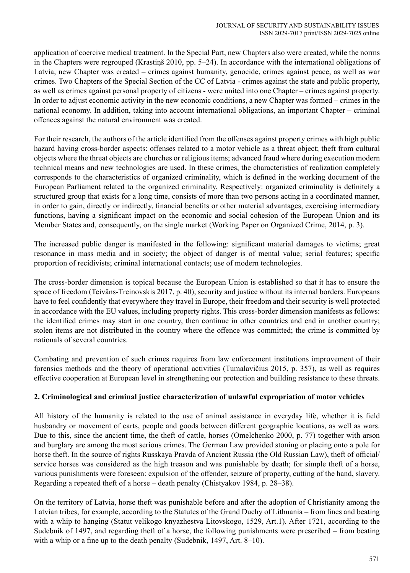application of coercive medical treatment. In the Special Part, new Chapters also were created, while the norms in the Chapters were regrouped (Krastiņš 2010, pp. 5–24). In accordance with the international obligations of Latvia, new Chapter was created – crimes against humanity, genocide, crimes against peace, as well as war crimes. Two Chapters of the Special Section of the CC of Latvia - crimes against the state and public property, as well as crimes against personal property of citizens - were united into one Chapter – crimes against property. In order to adjust economic activity in the new economic conditions, a new Chapter was formed – crimes in the national economy. In addition, taking into account international obligations, an important Chapter – criminal offences against the natural environment was created.

For their research, the authors of the article identified from the offenses against property crimes with high public hazard having cross-border aspects: offenses related to a motor vehicle as a threat object; theft from cultural objects where the threat objects are churches or religious items; advanced fraud where during execution modern technical means and new technologies are used. In these crimes, the characteristics of realization completely corresponds to the characteristics of organized criminality, which is defined in the working document of the European Parliament related to the organized criminality. Respectively: organized criminality is definitely a structured group that exists for a long time, consists of more than two persons acting in a coordinated manner, in order to gain, directly or indirectly, financial benefits or other material advantages, exercising intermediary functions, having a significant impact on the economic and social cohesion of the European Union and its Member States and, consequently, on the single market (Working Paper on Organized Crime, 2014, p. 3).

The increased public danger is manifested in the following: significant material damages to victims; great resonance in mass media and in society; the object of danger is of mental value; serial features; specific proportion of recidivists; criminal international contacts; use of modern technologies.

The cross-border dimension is topical because the European Union is established so that it has to ensure the space of freedom (Teivāns-Treinovskis 2017, p. 40), security and justice without its internal borders. Europeans have to feel confidently that everywhere they travel in Europe, their freedom and their security is well protected in accordance with the EU values, including property rights. This cross-border dimension manifests as follows: the identified crimes may start in one country, then continue in other countries and end in another country; stolen items are not distributed in the country where the offence was committed; the crime is committed by nationals of several countries.

Combating and prevention of such crimes requires from law enforcement institutions improvement of their forensics methods and the theory of operational activities (Tumalavičius 2015, p. 357), as well as requires effective cooperation at European level in strengthening our protection and building resistance to these threats.

# **2. Criminological and criminal justice characterization of unlawful expropriation of motor vehicles**

All history of the humanity is related to the use of animal assistance in everyday life, whether it is field husbandry or movement of carts, people and goods between different geographic locations, as well as wars. Due to this, since the ancient time, the theft of cattle, horses (Omelchenko 2000, p. 77) together with arson and burglary are among the most serious crimes. The German Law provided stoning or placing onto a pole for horse theft. In the source of rights Russkaya Pravda of Ancient Russia (the Old Russian Law), theft of official/ service horses was considered as the high treason and was punishable by death; for simple theft of a horse, various punishments were foreseen: expulsion of the offender, seizure of property, cutting of the hand, slavery. Regarding a repeated theft of a horse – death penalty (Chistyakov 1984, p. 28–38).

On the territory of Latvia, horse theft was punishable before and after the adoption of Christianity among the Latvian tribes, for example, according to the Statutes of the Grand Duchy of Lithuania – from fines and beating with a whip to hanging (Statut velikogo knyazhestva Litovskogo, 1529, Art.1). After 1721, according to the Sudebnik of 1497, and regarding theft of a horse, the following punishments were prescribed – from beating with a whip or a fine up to the death penalty (Sudebnik, 1497, Art. 8–10).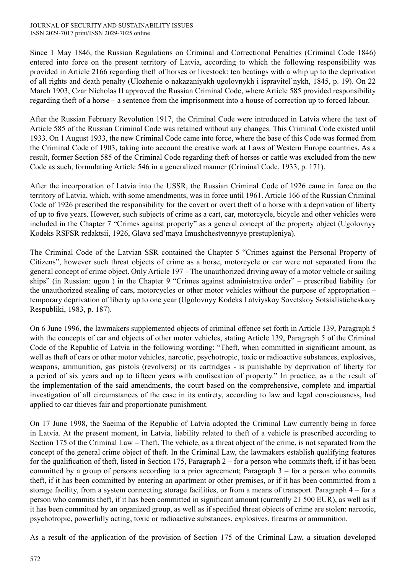Since 1 May 1846, the Russian Regulations on Criminal and Correctional Penalties (Criminal Code 1846) entered into force on the present territory of Latvia, according to which the following responsibility was provided in Article 2166 regarding theft of horses or livestock: ten beatings with a whip up to the deprivation of all rights and death penalty (Ulozhenie o nakazaniyakh ugolovnykh i ispravitel'nykh, 1845, p. 19). On 22 March 1903, Czar Nicholas II approved the Russian Criminal Code, where Article 585 provided responsibility regarding theft of a horse – a sentence from the imprisonment into a house of correction up to forced labour.

After the Russian February Revolution 1917, the Criminal Code were introduced in Latvia where the text of Article 585 of the Russian Criminal Code was retained without any changes. This Criminal Code existed until 1933. On 1 August 1933, the new Criminal Code came into force, where the base of this Code was formed from the Criminal Code of 1903, taking into account the creative work at Laws of Western Europe countries. As a result, former Section 585 of the Criminal Code regarding theft of horses or cattle was excluded from the new Code as such, formulating Article 546 in a generalized manner (Criminal Code, 1933, p. 171).

After the incorporation of Latvia into the USSR, the Russian Criminal Code of 1926 came in force on the territory of Latvia, which, with some amendments, was in force until 1961. Article 166 of the Russian Criminal Code of 1926 prescribed the responsibility for the covert or overt theft of a horse with a deprivation of liberty of up to five years. However, such subjects of crime as a cart, car, motorcycle, bicycle and other vehicles were included in the Chapter 7 "Crimes against property" as a general concept of the property object (Ugolovnyy Kodeks RSFSR redaktsii, 1926, Glava sed'maya Imushchestvennyye prestupleniya).

The Criminal Code of the Latvian SSR contained the Chapter 5 "Crimes against the Personal Property of Citizens", however such threat objects of crime as a horse, motorcycle or car were not separated from the general concept of crime object. Only Article 197 – The unauthorized driving away of a motor vehicle or sailing ships" (in Russian: ugon ) in the Chapter 9 "Crimes against administrative order" – prescribed liability for the unauthorized stealing of cars, motorcycles or other motor vehicles without the purpose of appropriation – temporary deprivation of liberty up to one year (Ugolovnyy Kodeks Latviyskoy Sovetskoy Sotsialisticheskaoy Respubliki, 1983, p. 187).

On 6 June 1996, the lawmakers supplemented objects of criminal offence set forth in Article 139, Paragraph 5 with the concepts of car and objects of other motor vehicles, stating Article 139, Paragraph 5 of the Criminal Code of the Republic of Latvia in the following wording: "Theft, when committed in significant amount, as well as theft of cars or other motor vehicles, narcotic, psychotropic, toxic or radioactive substances, explosives, weapons, ammunition, gas pistols (revolvers) or its cartridges - is punishable by deprivation of liberty for a period of six years and up to fifteen years with confiscation of property." In practice, as a the result of the implementation of the said amendments, the court based on the comprehensive, complete and impartial investigation of all circumstances of the case in its entirety, according to law and legal consciousness, had applied to car thieves fair and proportionate punishment.

On 17 June 1998, the Saeima of the Republic of Latvia adopted the Criminal Law currently being in force in Latvia. At the present moment, in Latvia, liability related to theft of a vehicle is prescribed according to Section 175 of the Criminal Law – Theft. The vehicle, as a threat object of the crime, is not separated from the concept of the general crime object of theft. In the Criminal Law, the lawmakers establish qualifying features for the qualification of theft, listed in Section 175, Paragraph 2 – for a person who commits theft, if it has been committed by a group of persons according to a prior agreement; Paragraph  $3 -$  for a person who commits theft, if it has been committed by entering an apartment or other premises, or if it has been committed from a storage facility, from a system connecting storage facilities, or from a means of transport. Paragraph 4 – for a person who commits theft, if it has been committed in significant amount (currently 21 500 EUR), as well as if it has been committed by an organized group, as well as if specified threat objects of crime are stolen: narcotic, psychotropic, powerfully acting, toxic or radioactive substances, explosives, firearms or ammunition.

As a result of the application of the provision of Section 175 of the Criminal Law, a situation developed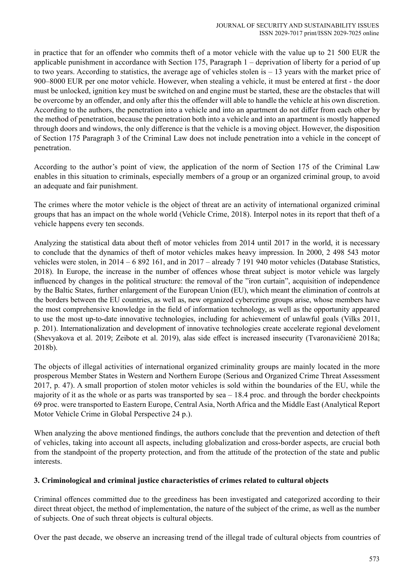in practice that for an offender who commits theft of a motor vehicle with the value up to 21 500 EUR the applicable punishment in accordance with Section 175, Paragraph 1 – deprivation of liberty for a period of up to two years. According to statistics, the average age of vehicles stolen is – 13 years with the market price of 900–8000 EUR per one motor vehicle. However, when stealing a vehicle, it must be entered at first - the door must be unlocked, ignition key must be switched on and engine must be started, these are the obstacles that will be overcome by an offender, and only after this the offender will able to handle the vehicle at his own discretion. According to the authors, the penetration into a vehicle and into an apartment do not differ from each other by the method of penetration, because the penetration both into a vehicle and into an apartment is mostly happened through doors and windows, the only difference is that the vehicle is a moving object. However, the disposition of Section 175 Paragraph 3 of the Criminal Law does not include penetration into a vehicle in the concept of penetration.

According to the author's point of view, the application of the norm of Section 175 of the Criminal Law enables in this situation to criminals, especially members of a group or an organized criminal group, to avoid an adequate and fair punishment.

The crimes where the motor vehicle is the object of threat are an activity of international organized criminal groups that has an impact on the whole world (Vehicle Crime, 2018). Interpol notes in its report that theft of a vehicle happens every ten seconds.

Analyzing the statistical data about theft of motor vehicles from 2014 until 2017 in the world, it is necessary to conclude that the dynamics of theft of motor vehicles makes heavy impression. In 2000, 2 498 543 motor vehicles were stolen, in 2014 – 6 892 161, and in 2017 – already 7 191 940 motor vehicles (Database Statistics, 2018). In Europe, the increase in the number of offences whose threat subject is motor vehicle was largely influenced by changes in the political structure: the removal of the "iron curtain", acquisition of independence by the Baltic States, further enlargement of the European Union (EU), which meant the elimination of controls at the borders between the EU countries, as well as, new organized cybercrime groups arise, whose members have the most comprehensive knowledge in the field of information technology, as well as the opportunity appeared to use the most up-to-date innovative technologies, including for achievement of unlawful goals (Vilks 2011, p. 201). Internationalization and development of innovative technologies create accelerate regional develoment (Shevyakova et al. 2019; Zeibote et al. 2019), alas side effect is increased insecurity (Tvaronavičienė 2018a; 2018b).

The objects of illegal activities of international organized criminality groups are mainly located in the more prosperous Member States in Western and Northern Europe (Serious and Organized Crime Threat Assessment 2017, p. 47). A small proportion of stolen motor vehicles is sold within the boundaries of the EU, while the majority of it as the whole or as parts was transported by  $\text{sea}-18.4$  proc. and through the border checkpoints 69 proc. were transported to Eastern Europe, Central Asia, North Africa and the Middle East (Analytical Report Motor Vehicle Crime in Global Perspective 24 p.).

When analyzing the above mentioned findings, the authors conclude that the prevention and detection of theft of vehicles, taking into account all aspects, including globalization and cross-border aspects, are crucial both from the standpoint of the property protection, and from the attitude of the protection of the state and public interests.

## **3. Criminological and criminal justice characteristics of crimes related to cultural objects**

Criminal offences committed due to the greediness has been investigated and categorized according to their direct threat object, the method of implementation, the nature of the subject of the crime, as well as the number of subjects. One of such threat objects is cultural objects.

Over the past decade, we observe an increasing trend of the illegal trade of cultural objects from countries of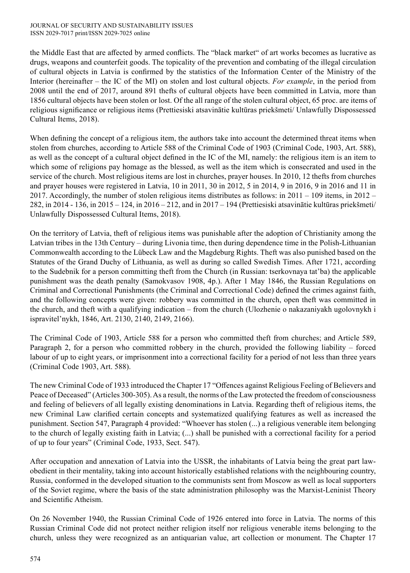the Middle East that are affected by armed conflicts. The "black market" of art works becomes as lucrative as drugs, weapons and counterfeit goods. The topicality of the prevention and combating of the illegal circulation of cultural objects in Latvia is confirmed by the statistics of the Information Center of the Ministry of the Interior (hereinafter – the IC of the MI) on stolen and lost cultural objects. *For example*, in the period from 2008 until the end of 2017, around 891 thefts of cultural objects have been committed in Latvia, more than 1856 cultural objects have been stolen or lost. Of the all range of the stolen cultural object, 65 proc. are items of religious significance or religious items (Prettiesiski atsavinātie kultūras priekšmeti/ Unlawfully Dispossessed Cultural Items, 2018).

When defining the concept of a religious item, the authors take into account the determined threat items when stolen from churches, according to Article 588 of the Criminal Code of 1903 (Criminal Code, 1903, Art. 588), as well as the concept of a cultural object defined in the IC of the MI, namely: the religious item is an item to which some of religions pay homage as the blessed, as well as the item which is consecrated and used in the service of the church. Most religious items are lost in churches, prayer houses. In 2010, 12 thefts from churches and prayer houses were registered in Latvia, 10 in 2011, 30 in 2012, 5 in 2014, 9 in 2016, 9 in 2016 and 11 in 2017. Accordingly, the number of stolen religious items distributes as follows: in  $2011 - 109$  items, in  $2012 -$ 282, in 2014 - 136, in 2015 – 124, in 2016 – 212, and in 2017 – 194 (Prettiesiski atsavinātie kultūras priekšmeti/ Unlawfully Dispossessed Cultural Items, 2018).

On the territory of Latvia, theft of religious items was punishable after the adoption of Christianity among the Latvian tribes in the 13th Century – during Livonia time, then during dependence time in the Polish-Lithuanian Commonwealth according to the Lübeck Law and the Magdeburg Rights. Theft was also punished based on the Statutes of the Grand Duchy of Lithuania, as well as during so called Swedish Times. After 1721, according to the Sudebnik for a person committing theft from the Church (in Russian: tserkovnaya tat'ba) the applicable punishment was the death penalty (Samokvasov 1908, 4p.). After 1 May 1846, the Russian Regulations on Criminal and Correctional Punishments (the Criminal and Correctional Code) defined the crimes against faith, and the following concepts were given: robbery was committed in the church, open theft was committed in the church, and theft with a qualifying indication – from the church (Ulozhenie o nakazaniyakh ugolovnykh i ispravitel'nykh, 1846, Art. 2130, 2140, 2149, 2166).

The Criminal Code of 1903, Article 588 for a person who committed theft from churches; and Article 589, Paragraph 2, for a person who committed robbery in the church, provided the following liability – forced labour of up to eight years, or imprisonment into a correctional facility for a period of not less than three years (Criminal Code 1903, Art. 588).

The new Criminal Code of 1933 introduced the Chapter 17 "Offences against Religious Feeling of Believers and Peace of Deceased" (Articles 300-305). As a result, the norms of the Law protected the freedom of consciousness and feeling of believers of all legally existing denominations in Latvia. Regarding theft of religious items, the new Criminal Law clarified certain concepts and systematized qualifying features as well as increased the punishment. Section 547, Paragraph 4 provided: "Whoever has stolen (...) a religious venerable item belonging to the church of legally existing faith in Latvia; (...) shall be punished with a correctional facility for a period of up to four years" (Criminal Code, 1933, Sect. 547).

After occupation and annexation of Latvia into the USSR, the inhabitants of Latvia being the great part lawobedient in their mentality, taking into account historically established relations with the neighbouring country, Russia, conformed in the developed situation to the communists sent from Moscow as well as local supporters of the Soviet regime, where the basis of the state administration philosophy was the Marxist-Leninist Theory and Scientific Atheism.

On 26 November 1940, the Russian Criminal Code of 1926 entered into force in Latvia. The norms of this Russian Criminal Code did not protect neither religion itself nor religious venerable items belonging to the church, unless they were recognized as an antiquarian value, art collection or monument. The Chapter 17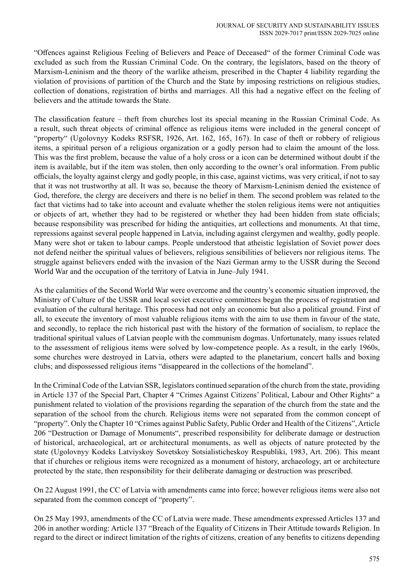"Offences against Religious Feeling of Believers and Peace of Deceased" of the former Criminal Code was excluded as such from the Russian Criminal Code. On the contrary, the legislators, based on the theory of Marxism-Leninism and the theory of the warlike atheism, prescribed in the Chapter 4 liability regarding the violation of provisions of partition of the Church and the State by imposing restrictions on religious studies, collection of donations, registration of births and marriages. All this had a negative effect on the feeling of believers and the attitude towards the State.

The classification feature – theft from churches lost its special meaning in the Russian Criminal Code. As a result, such threat objects of criminal offence as religious items were included in the general concept of "property" (Ugolovnyy Kodeks RSFSR, 1926, Art. 162, 165, 167). In case of theft or robbery of religious items, a spiritual person of a religious organization or a godly person had to claim the amount of the loss. This was the first problem, because the value of a holy cross or a icon can be determined without doubt if the item is available, but if the item was stolen, then only according to the owner's oral information. From public officials, the loyalty against clergy and godly people, in this case, against victims, was very critical, if not to say that it was not trustworthy at all. It was so, because the theory of Marxism-Leninism denied the existence of God, therefore, the clergy are deceivers and there is no belief in them. The second problem was related to the fact that victims had to take into account and evaluate whether the stolen religious items were not antiquities or objects of art, whether they had to be registered or whether they had been hidden from state officials; because responsibility was prescribed for hiding the antiquities, art collections and monuments. At that time, repressions against several people happened in Latvia, including against clergymen and wealthy, godly people. Many were shot or taken to labour camps. People understood that atheistic legislation of Soviet power does not defend neither the spiritual values of believers, religious sensibilities of believers nor religious items. The struggle against believers ended with the invasion of the Nazi German army to the USSR during the Second World War and the occupation of the territory of Latvia in June–July 1941.

As the calamities of the Second World War were overcome and the country's economic situation improved, the Ministry of Culture of the USSR and local soviet executive committees began the process of registration and evaluation of the cultural heritage. This process had not only an economic but also a political ground. First of all, to execute the inventory of most valuable religious items with the aim to use them in favour of the state, and secondly, to replace the rich historical past with the history of the formation of socialism, to replace the traditional spiritual values of Latvian people with the communism dogmas. Unfortunately, many issues related to the assessment of religious items were solved by low-competence people. As a result, in the early 1960s, some churches were destroyed in Latvia, others were adapted to the planetarium, concert halls and boxing clubs; and dispossessed religious items "disappeared in the collections of the homeland".

In the Criminal Code of the Latvian SSR, legislators continued separation of the church from the state, providing in Article 137 of the Special Part, Chapter 4 "Crimes Against Citizens' Political, Labour and Other Rights" a punishment related to violation of the provisions regarding the separation of the church from the state and the separation of the school from the church. Religious items were not separated from the common concept of "property". Only the Chapter 10 "Crimes against Public Safety, Public Order and Health of the Citizens", Article 206 "Destruction or Damage of Monuments", prescribed responsibility for deliberate damage or destruction of historical, archaeological, art or architectural monuments, as well as objects of nature protected by the state (Ugolovnyy Kodeks Latviyskoy Sovetskoy Sotsialisticheskoy Respubliki, 1983, Art. 206). This meant that if churches or religious items were recognized as a monument of history, archaeology, art or architecture protected by the state, then responsibility for their deliberate damaging or destruction was prescribed.

On 22 August 1991, the CC of Latvia with amendments came into force; however religious items were also not separated from the common concept of "property".

On 25 May 1993, amendments of the CC of Latvia were made. These amendments expressed Articles 137 and 206 in another wording: Article 137 "Breach of the Equality of Citizens in Their Attitude towards Religion. In regard to the direct or indirect limitation of the rights of citizens, creation of any benefits to citizens depending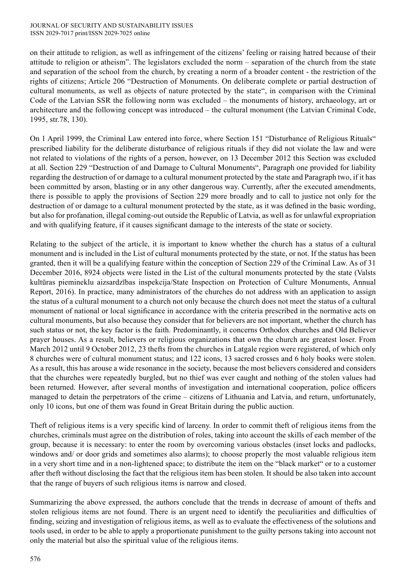on their attitude to religion, as well as infringement of the citizens' feeling or raising hatred because of their attitude to religion or atheism". The legislators excluded the norm – separation of the church from the state and separation of the school from the church, by creating a norm of a broader content - the restriction of the rights of citizens; Article 206 "Destruction of Monuments. On deliberate complete or partial destruction of cultural monuments, as well as objects of nature protected by the state", in comparison with the Criminal Code of the Latvian SSR the following norm was excluded – the monuments of history, archaeology, art or architecture and the following concept was introduced – the cultural monument (the Latvian Criminal Code, 1995, str.78, 130).

On 1 April 1999, the Criminal Law entered into force, where Section 151 "Disturbance of Religious Rituals" prescribed liability for the deliberate disturbance of religious rituals if they did not violate the law and were not related to violations of the rights of a person, however, on 13 December 2012 this Section was excluded at all. Section 229 "Destruction of and Damage to Cultural Monuments", Paragraph one provided for liability regarding the destruction of or damage to a cultural monument protected by the state and Paragraph two, if it has been committed by arson, blasting or in any other dangerous way. Currently, after the executed amendments, there is possible to apply the provisions of Section 229 more broadly and to call to justice not only for the destruction of or damage to a cultural monument protected by the state, as it was defined in the basic wording, but also for profanation, illegal coming-out outside the Republic of Latvia, as well as for unlawful expropriation and with qualifying feature, if it causes significant damage to the interests of the state or society.

Relating to the subject of the article, it is important to know whether the church has a status of a cultural monument and is included in the List of cultural monuments protected by the state, or not. If the status has been granted, then it will be a qualifying feature within the conception of Section 229 of the Criminal Law. As of 31 December 2016, 8924 objects were listed in the List of the cultural monuments protected by the state (Valsts kultūras piemineklu aizsardzības inspekcija/State Inspection on Protection of Culture Monuments, Annual Report, 2016). In practice, many administrators of the churches do not address with an application to assign the status of a cultural monument to a church not only because the church does not meet the status of a cultural monument of national or local significance in accordance with the criteria prescribed in the normative acts on cultural monuments, but also because they consider that for believers are not important, whether the church has such status or not, the key factor is the faith. Predominantly, it concerns Orthodox churches and Old Believer prayer houses. As a result, believers or religious organizations that own the church are greatest loser. From March 2012 until 9 October 2012, 23 thefts from the churches in Latgale region were registered, of which only 8 churches were of cultural monument status; and 122 icons, 13 sacred crosses and 6 holy books were stolen. As a result, this has arouse a wide resonance in the society, because the most believers considered and considers that the churches were repeatedly burgled, but no thief was ever caught and nothing of the stolen values had been returned. However, after several months of investigation and international cooperation, police officers managed to detain the perpetrators of the crime – citizens of Lithuania and Latvia, and return, unfortunately, only 10 icons, but one of them was found in Great Britain during the public auction.

Theft of religious items is a very specific kind of larceny. In order to commit theft of religious items from the churches, criminals must agree on the distribution of roles, taking into account the skills of each member of the group, because it is necessary: to enter the room by overcoming various obstacles (inset locks and padlocks, windows and/ or door grids and sometimes also alarms); to choose properly the most valuable religious item in a very short time and in a non-lightened space; to distribute the item on the "black market" or to a customer after theft without disclosing the fact that the religious item has been stolen. It should be also taken into account that the range of buyers of such religious items is narrow and closed.

Summarizing the above expressed, the authors conclude that the trends in decrease of amount of thefts and stolen religious items are not found. There is an urgent need to identify the peculiarities and difficulties of finding, seizing and investigation of religious items, as well as to evaluate the effectiveness of the solutions and tools used, in order to be able to apply a proportionate punishment to the guilty persons taking into account not only the material but also the spiritual value of the religious items.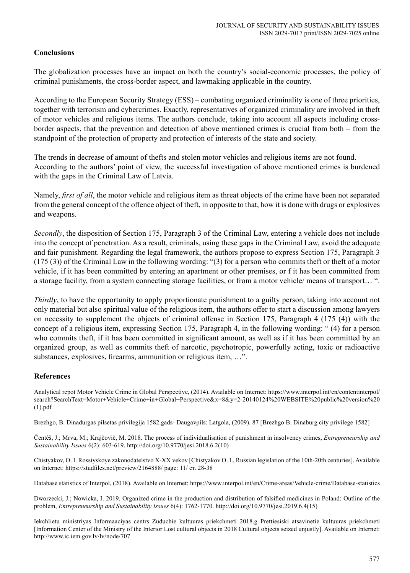## **Conclusions**

The globalization processes have an impact on both the country's social-economic processes, the policy of criminal punishments, the cross-border aspect, and lawmaking applicable in the country.

According to the European Security Strategy (ESS) – combating organized criminality is one of three priorities, together with terrorism and cybercrimes. Exactly, representatives of organized criminality are involved in theft of motor vehicles and religious items. The authors conclude, taking into account all aspects including crossborder aspects, that the prevention and detection of above mentioned crimes is crucial from both – from the standpoint of the protection of property and protection of interests of the state and society.

The trends in decrease of amount of thefts and stolen motor vehicles and religious items are not found. According to the authors' point of view, the successful investigation of above mentioned crimes is burdened with the gaps in the Criminal Law of Latvia.

Namely, *first of all*, the motor vehicle and religious item as threat objects of the crime have been not separated from the general concept of the offence object of theft, in opposite to that, how it is done with drugs or explosives and weapons.

*Secondly*, the disposition of Section 175, Paragraph 3 of the Criminal Law, entering a vehicle does not include into the concept of penetration. As a result, criminals, using these gaps in the Criminal Law, avoid the adequate and fair punishment. Regarding the legal framework, the authors propose to express Section 175, Paragraph 3 (175 (3)) of the Criminal Law in the following wording: "(3) for a person who commits theft or theft of a motor vehicle, if it has been committed by entering an apartment or other premises, or f it has been committed from a storage facility, from a system connecting storage facilities, or from a motor vehicle/ means of transport… ".

*Thirdly*, to have the opportunity to apply proportionate punishment to a guilty person, taking into account not only material but also spiritual value of the religious item, the authors offer to start a discussion among lawyers on necessity to supplement the objects of criminal offense in Section 175, Paragraph 4 (175 (4)) with the concept of a religious item, expressing Section 175, Paragraph 4, in the following wording: " (4) for a person who commits theft, if it has been committed in significant amount, as well as if it has been committed by an organized group, as well as commits theft of narcotic, psychotropic, powerfully acting, toxic or radioactive substances, explosives, firearms, ammunition or religious item, …".

## **References**

Analytical repot Motor Vehicle Crime in Global Perspective, (2014). Available on Internet: https://www.interpol.int/en/contentinterpol/ search?SearchText=Motor+Vehicle+Crime+in+Global+Perspective&x=8&y=2-20140124%20WEBSITE%20public%20version%20 (1).pdf

Brezhgo, B. Dinadurgas pilsetas privilegija 1582.gads- Daugavpils: Latgola, (2009). 87 [Brezhgo B. Dinaburg city privilege 1582]

Čentéš, J.; Mrva, M.; Krajčovič, M. 2018. The process of individualisation of punishment in insolvency crimes, *Entrepreneurship and Sustainability Issues* 6(2): 603-619. http://doi.org/10.9770/jesi.2018.6.2(10)

Chistyakov, O. I. Rossiyskoye zakonodatelstvo X-XX vekov [Chistyakov O. I., Russian legislation of the 10th-20th centuries]. Available on Internet: https://studfiles.net/preview/2164888/ page: 11/ ст. 28-38

Database statistics of Interpol, (2018). Available on Internet: https://www.interpol.int/en/Crime-areas/Vehicle-crime/Database-statistics

Dworzecki, J.; Nowicka, I. 2019. Organized crime in the production and distribution of falsified medicines in Poland: Outline of the problem, *Entrepreneurship and Sustainability Issues* 6(4): 1762-1770. http://doi.org/10.9770/jesi.2019.6.4(15)

Iekchlietu ministriyas Informaaciyas centrs Zuduchie kultuuras priekchmeti 2018.g Prettiesiski atsavinetie kultuuras priekchmeti [Information Center of the Ministry of the Interior Lost cultural objects in 2018 Cultural objects seized unjustly]. Available on Internet: http://www.ic.iem.gov.lv/lv/node/707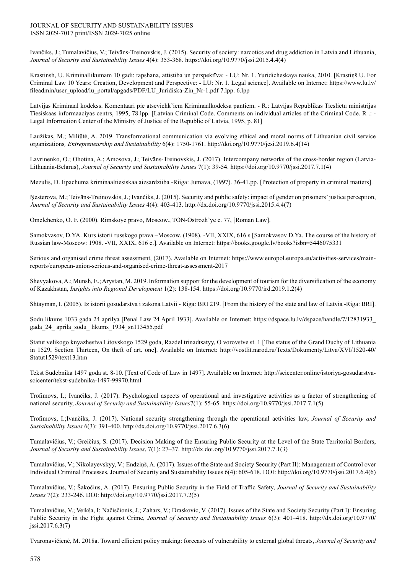#### JOURNAL OF SECURITY AND SUSTAINABILITY ISSUES ISSN 2029-7017 print/ISSN 2029-7025 online

Ivančiks, J.; Tumalavičius, V.; Teivāns-Treinovskis, J. (2015). Security of society: narcotics and drug addiction in Latvia and Lithuania, *Journal of Security and Sustainability Issues* 4(4): 353-368. https://doi.org/10.9770/jssi.2015.4.4(4)

Krastinsh, U. Kriminallikumam 10 gadi: tapshana, attistiba un perspektīva: - LU: Nr. 1. Yuridicheskaya nauka, 2010. [Krastiņš U. For Criminal Law 10 Years: Creation, Development and Perspective: - LU: Nr. 1. Legal science]. Available on Internet: https://www.lu.lv/ fileadmin/user\_upload/lu\_portal/apgads/PDF/LU\_Juridiska-Zin\_Nr-1.pdf 7.lpp. 6.lpp

Latvijas Kriminaal kodekss. Komentaari pie atsevichk'iem Kriminaalkodeksa pantiem. - R.: Latvijas Republikas Tieslietu ministrijas Tiesiskaas informaaciyas centrs, 1995, 78.lpp. [Latvian Criminal Code. Comments on individual articles of the Criminal Code. R .: - Legal Information Center of the Ministry of Justice of the Republic of Latvia, 1995, p. 81]

Laužikas, M.; Miliūtė, A. 2019. Transformational communication via evolving ethical and moral norms of Lithuanian civil service organizations*, Entrepreneurship and Sustainability* 6(4): 1750-1761. http://doi.org/10.9770/jesi.2019.6.4(14)

Lavrinenko, O.; Ohotina, A.; Amosova, J.; Teivāns-Treinovskis, J. (2017). Intercompany networks of the cross-border region (Latvia-Lithuania-Belarus), *Journal of Security and Sustainability Issues* 7(1): 39-54. https://doi.org/10.9770/jssi.2017.7.1(4)

Mezulis, D. Iipachuma kriminaaltiesiskaa aizsardziiba -Riiga: Jumava, (1997). 36-41.pp. [Protection of property in criminal matters].

Ņesterova, M.; Teivāns-Treinovskis, J.; Ivančiks, J. (2015). Security and public safety: impact of gender on prisoners' justice perception, *Journal of Security and Sustainability Issues* 4(4): 403-413. http://dx.doi.org/10.9770/jssi.2015.4.4(7)

Omelchenko, O. F. (2000). Rimskoye pravo, Moscow., TON-Ostrozh'ye c. 77, [Roman Law].

Samokvasov, D.YA. Kurs istorii russkogo prava –Moscow. (1908). -VII, XXIX, 616 s [Samokvasov D.Ya. The course of the history of Russian law-Moscow: 1908. -VII, XXIX, 616 с.]. Available on Internet: https://books.google.lv/books?isbn=5446075331

Serious and organised crime threat assessment, (2017). Available on Internet: https://www.europol.europa.eu/activities-services/mainreports/european-union-serious-and-organised-crime-threat-assessment-2017

Shevyakova, A.; Munsh, E.; Arystan, M. 2019.Information support for the development of tourism for the diversification of the economy of Kazakhstan, *Insights into Regional Development* 1(2): 138-154. https://doi.org/10.9770/ird.2019.1.2(4)

Shtayman, I. (2005). Iz istorii gosudarstva i zakona Latvii - Riga: BRI 219. [From the history of the state and law of Latvia -Riga: BRI].

Sodu likums 1033 gada 24 aprilya [Penal Law 24 April 1933]. Available on Internet: https://dspace.lu.lv/dspace/handle/7/12831933\_ gada\_24\_ aprila\_sodu\_ likums\_1934\_sn113455.pdf

Statut velikogo knyazhestva Litovskogo 1529 goda, Razdel trinadtsatyy, O vorovstve st. 1 [The status of the Grand Duchy of Lithuania in 1529, Section Thirteen, On theft of art. one]. Available on Internet: http://vostlit.narod.ru/Texts/Dokumenty/Litva/XVI/1520-40/ Statut1529/text13.htm

Tekst Sudebnika 1497 goda st. 8-10. [Text of Code of Law in 1497]. Available on Internet: http://scicenter.online/istoriya-gosudarstvascicenter/tekst-sudebnika-1497-99970.html

Trofimovs, I.; Ivančiks, J. (2017). Psychological aspects of operational and investigative activities as a factor of strengthening of national security, *Journal of Security and Sustainability Issues*7(1): 55-65. https://doi.org/10.9770/jssi.2017.7.1(5)

Trofimovs, I.;Ivančiks, J. (2017). National security strengthening through the operational activities law, *Journal of Security and Sustainability Issues* 6(3): 391-400. http://dx.doi.org/10.9770/jssi.2017.6.3(6)

Tumalavičius, V.; Greičius, S. (2017). Decision Making of the Ensuring Public Security at the Level of the State Territorial Borders, *Journal of Security and Sustainability Issues*, 7(1): 27–37. http://dx.doi.org/10.9770/jssi.2017.7.1(3)

Tumalavičius, V.; Nikolayevskyy, V.; Endziņš, A. (2017). Issues of the State and Society Security (Part II): Management of Control over Individual Criminal Processes, Journal of Security and Sustainability Issues 6(4): 605-618. DOI: http://doi.org/10.9770/jssi.2017.6.4(6)

Tumalavičius, V.; Šakočius, A. (2017). Ensuring Public Security in the Field of Traffic Safety, *Journal of Security and Sustainability Issues* 7(2): 233-246. DOI: http://doi.org/10.9770/jssi.2017.7.2(5)

Tumalavičius, V.; Veikša, I; Načisčionis, J.; Zahars, V.; Draskovic, V. (2017). Issues of the State and Society Security (Part I): Ensuring Public Security in the Fight against Crime, *Journal of Security and Sustainability Issues* 6(3): 401–418. http://dx.doi.org/10.9770/ jssi.2017.6.3(7)

Tvaronavičienė, M. 2018a. Toward efficient policy making: forecasts of vulnerability to external global threats, *Journal of Security and*